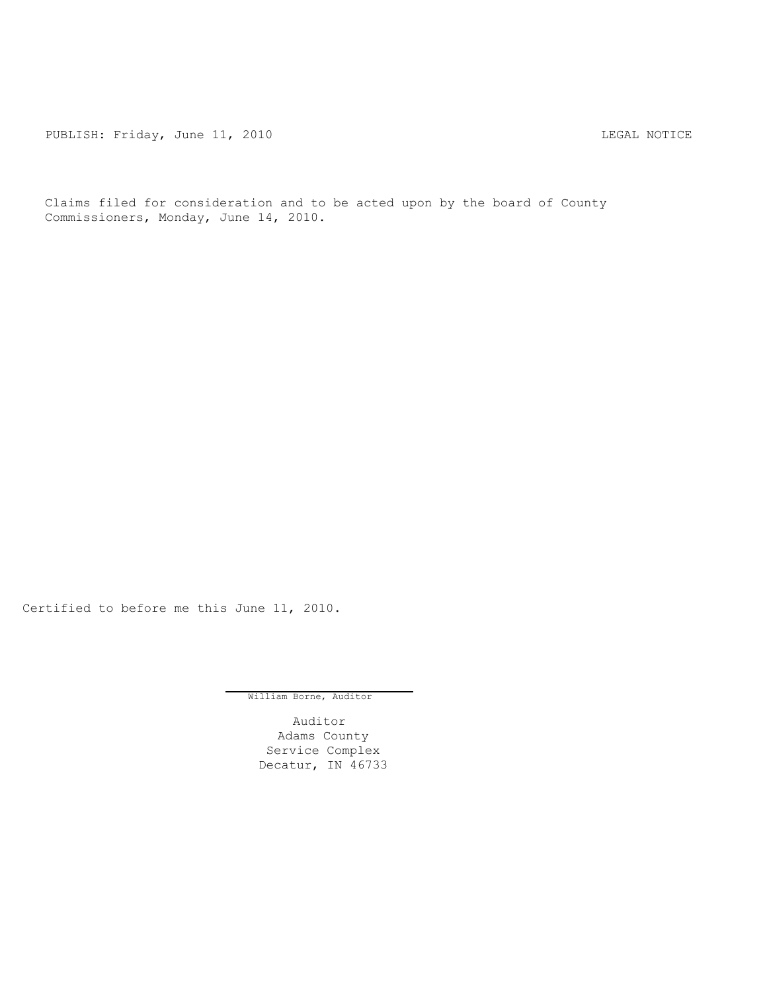PUBLISH: Friday, June 11, 2010 CHANGE CONSTRUCTED AND THE LEGAL NOTICE

Claims filed for consideration and to be acted upon by the board of County Commissioners, Monday, June 14, 2010.

Certified to before me this June 11, 2010.

William Borne, Auditor

Auditor Adams County Service Complex Decatur, IN 46733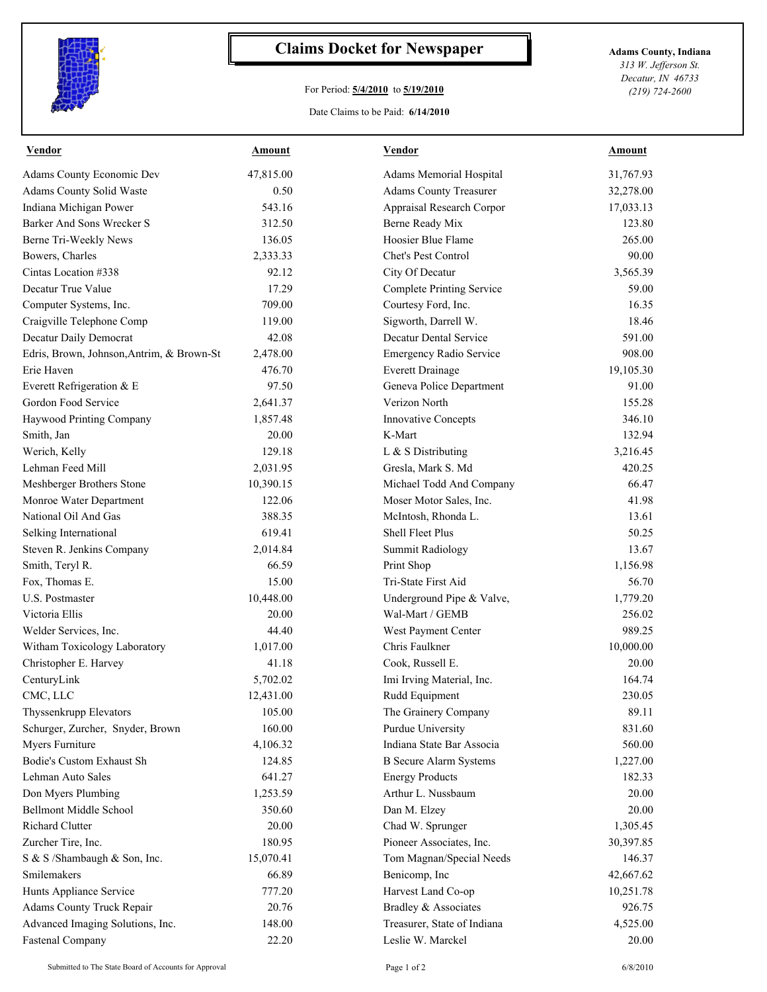

## **Claims Docket for Newspaper Adams County, Indiana**

## For Period: **5/4/2010** to **5/19/2010**

Date Claims to be Paid: **6/14/2010**

*313 W. Jefferson St. Decatur, IN 46733 (219) 724-2600*

| Vendor                                    | Amount    | Vendor                           | Amount    |
|-------------------------------------------|-----------|----------------------------------|-----------|
| <b>Adams County Economic Dev</b>          | 47,815.00 | Adams Memorial Hospital          | 31,767.93 |
| <b>Adams County Solid Waste</b>           | 0.50      | <b>Adams County Treasurer</b>    | 32,278.00 |
| Indiana Michigan Power                    | 543.16    | Appraisal Research Corpor        | 17,033.13 |
| Barker And Sons Wrecker S                 | 312.50    | Berne Ready Mix                  | 123.80    |
| Berne Tri-Weekly News                     | 136.05    | Hoosier Blue Flame               | 265.00    |
| Bowers, Charles                           | 2,333.33  | <b>Chet's Pest Control</b>       | 90.00     |
| Cintas Location #338                      | 92.12     | City Of Decatur                  | 3,565.39  |
| Decatur True Value                        | 17.29     | <b>Complete Printing Service</b> | 59.00     |
| Computer Systems, Inc.                    | 709.00    | Courtesy Ford, Inc.              | 16.35     |
| Craigville Telephone Comp                 | 119.00    | Sigworth, Darrell W.             | 18.46     |
| Decatur Daily Democrat                    | 42.08     | <b>Decatur Dental Service</b>    | 591.00    |
| Edris, Brown, Johnson, Antrim, & Brown-St | 2,478.00  | Emergency Radio Service          | 908.00    |
| Erie Haven                                | 476.70    | <b>Everett Drainage</b>          | 19,105.30 |
| Everett Refrigeration & E                 | 97.50     | Geneva Police Department         | 91.00     |
| Gordon Food Service                       | 2,641.37  | Verizon North                    | 155.28    |
| Haywood Printing Company                  | 1,857.48  | Innovative Concepts              | 346.10    |
| Smith, Jan                                | 20.00     | K-Mart                           | 132.94    |
| Werich, Kelly                             | 129.18    | L & S Distributing               | 3,216.45  |
| Lehman Feed Mill                          | 2,031.95  | Gresla, Mark S. Md               | 420.25    |
| Meshberger Brothers Stone                 | 10,390.15 | Michael Todd And Company         | 66.47     |
| Monroe Water Department                   | 122.06    | Moser Motor Sales, Inc.          | 41.98     |
| National Oil And Gas                      | 388.35    | McIntosh, Rhonda L.              | 13.61     |
| Selking International                     | 619.41    | <b>Shell Fleet Plus</b>          | 50.25     |
| Steven R. Jenkins Company                 | 2,014.84  | <b>Summit Radiology</b>          | 13.67     |
| Smith, Teryl R.                           | 66.59     | Print Shop                       | 1,156.98  |
| Fox, Thomas E.                            | 15.00     | Tri-State First Aid              | 56.70     |
| U.S. Postmaster                           | 10,448.00 | Underground Pipe & Valve,        | 1,779.20  |
| Victoria Ellis                            | 20.00     | Wal-Mart / GEMB                  | 256.02    |
| Welder Services, Inc.                     | 44.40     | West Payment Center              | 989.25    |
| Witham Toxicology Laboratory              | 1,017.00  | Chris Faulkner                   | 10,000.00 |
| Christopher E. Harvey                     | 41.18     | Cook, Russell E.                 | 20.00     |
| CenturyLink                               | 5,702.02  | Imi Irving Material, Inc.        | 164.74    |
| CMC, LLC                                  | 12,431.00 | Rudd Equipment                   | 230.05    |
| Thyssenkrupp Elevators                    | 105.00    | The Grainery Company             | 89.11     |
| Schurger, Zurcher, Snyder, Brown          | 160.00    | Purdue University                | 831.60    |
| Myers Furniture                           | 4,106.32  | Indiana State Bar Associa        | 560.00    |
| <b>Bodie's Custom Exhaust Sh</b>          | 124.85    | <b>B</b> Secure Alarm Systems    | 1,227.00  |
| Lehman Auto Sales                         | 641.27    | <b>Energy Products</b>           | 182.33    |
| Don Myers Plumbing                        | 1,253.59  | Arthur L. Nussbaum               | 20.00     |
|                                           | 350.60    |                                  |           |
| <b>Bellmont Middle School</b>             |           | Dan M. Elzey                     | 20.00     |
| <b>Richard Clutter</b>                    | 20.00     | Chad W. Sprunger                 | 1,305.45  |
| Zurcher Tire, Inc.                        | 180.95    | Pioneer Associates, Inc.         | 30,397.85 |
| S & S /Shambaugh & Son, Inc.              | 15,070.41 | Tom Magnan/Special Needs         | 146.37    |
| Smilemakers                               | 66.89     | Benicomp, Inc                    | 42,667.62 |
| Hunts Appliance Service                   | 777.20    | Harvest Land Co-op               | 10,251.78 |
| <b>Adams County Truck Repair</b>          | 20.76     | Bradley & Associates             | 926.75    |
| Advanced Imaging Solutions, Inc.          | 148.00    | Treasurer, State of Indiana      | 4,525.00  |
| <b>Fastenal Company</b>                   | 22.20     | Leslie W. Marckel                | 20.00     |